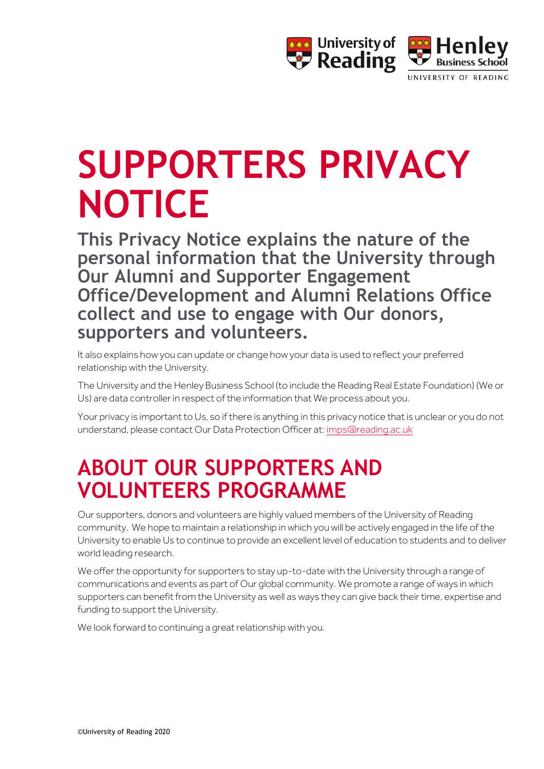

# **SUPPORTERS PRIVACY NOTICE**

**This Privacy Notice explains the nature of the personal information that the University through Our Alumni and Supporter Engagement Office/Development and Alumni Relations Office collect and use to engage with Our donors, supporters and volunteers.** 

It also explains how you can update or change how your data is used to reflect your preferred relationship with the University.

The University and the Henley Business School (to include the Reading Real Estate Foundation) (We or Us) are data controller in respect of the information that We process about you.

Your privacy is important to Us, so if there is anything in this privacy notice that is unclear or you do not understand, please contact Our Data Protection Officer at[: imps@reading.ac.uk](mailto:imps@reading.ac.uk)

### **ABOUT OUR SUPPORTERS AND VOLUNTEERS PROGRAMME**

Our supporters, donors and volunteers are highly valued members of the University of Reading community. We hope to maintain a relationship in which you will be actively engaged in the life of the University to enable Us to continue to provide an excellent level of education to students and to deliver world leading research.

We offer the opportunity for supporters to stay up-to-date with the University through a range of communications and events as part of Our global community. We promote a range of ways in which supporters can benefit from the University as well as ways they can give back their time, expertise and funding to support the University.

We look forward to continuing a great relationship with you.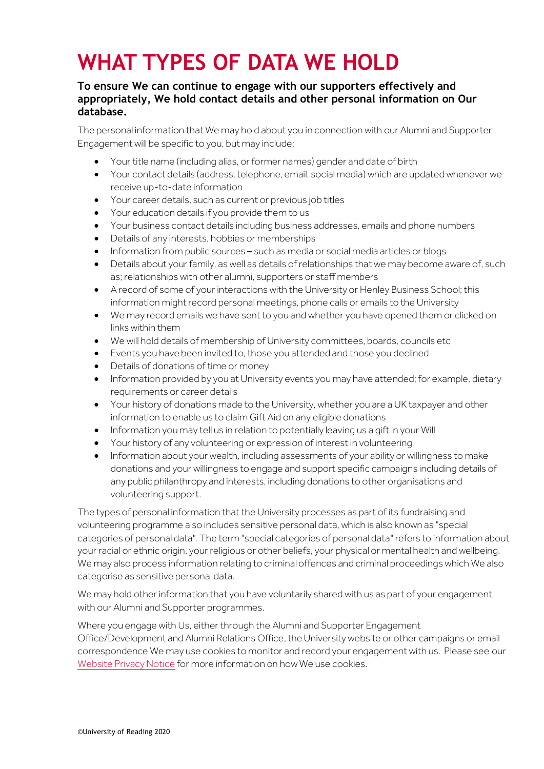### **WHAT TYPES OF DATA WE HOLD**

#### **To ensure We can continue to engage with our supporters effectively and appropriately, We hold contact details and other personal information on Our database.**

The personal information that We may hold about you in connection with our Alumni and Supporter Engagement will be specific to you, but may include:

- Your title name (including alias, or former names) gender and date of birth
- Your contact details (address, telephone, email, social media) which are updated whenever we receive up-to-date information
- Your career details, such as current or previous job titles
- Your education details if you provide them to us
- Your business contact details including business addresses, emails and phone numbers
- Details of any interests, hobbies or memberships
- Information from public sources such as media or social media articles or blogs
- Details about your family, as well as details of relationships that we may become aware of, such as; relationships with other alumni, supporters or staff members
- A record of some of your interactions with the University or Henley Business School; this information might record personal meetings, phone calls or emails to the University
- We may record emails we have sent to you and whether you have opened them or clicked on links within them
- We will hold details of membership of University committees, boards, councils etc
- Events you have been invited to, those you attended and those you declined
- Details of donations of time or money
- Information provided by you at University events you may have attended; for example, dietary requirements or career details
- Your history of donations made to the University, whether you are a UK taxpayer and other information to enable us to claim Gift Aid on any eligible donations
- Information you may tell us in relation to potentially leaving us a gift in your Will
- Your history of any volunteering or expression of interest in volunteering
- Information about your wealth, including assessments of your ability or willingness to make donations and your willingness to engage and support specific campaigns including details of any public philanthropy and interests, including donations to other organisations and volunteering support.

The types of personal information that the University processes as part of its fundraising and volunteering programme also includes sensitive personal data, which is also known as "special categories of personal data". The term "special categories of personal data" refers to information about your racial or ethnic origin, your religious or other beliefs, your physical or mental health and wellbeing. We may also process information relating to criminal offences and criminal proceedings which We also categorise as sensitive personal data.

We may hold other information that you have voluntarily shared with us as part of your engagement with our Alumni and Supporter programmes.

Where you engage with Us, either through the Alumni and Supporter Engagement Office/Development and Alumni Relations Office, the University website or other campaigns or email correspondence We may use cookies to monitor and record your engagement with us. Please see our [Website Privacy Notice](http://www.reading.ac.uk/15/about/about-privacy.aspx#cookies) for more information on how We use cookies.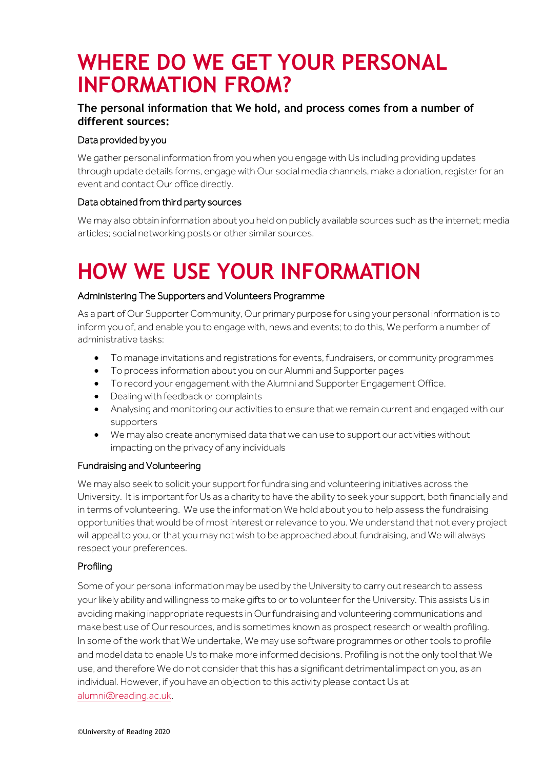### **WHERE DO WE GET YOUR PERSONAL INFORMATION FROM?**

### **The personal information that We hold, and process comes from a number of different sources:**

#### Data provided by you

We gather personal information from you when you engage with Us including providing updates through update details forms, engage with Our social media channels, make a donation, register for an event and contact Our office directly.

#### Data obtained from third party sources

We may also obtain information about you held on publicly available sources such as the internet; media articles; social networking posts or other similar sources.

## **HOW WE USE YOUR INFORMATION**

#### Administering The Supporters and Volunteers Programme

As a part of Our Supporter Community, Our primary purpose for using your personal information is to inform you of, and enable you to engage with, news and events; to do this, We perform a number of administrative tasks:

- To manage invitations and registrations for events, fundraisers, or community programmes
- To process information about you on our Alumni and Supporter pages
- To record your engagement with the Alumni and Supporter Engagement Office.
- Dealing with feedback or complaints
- Analysing and monitoring our activities to ensure that we remain current and engaged with our supporters
- We may also create anonymised data that we can use to support our activities without impacting on the privacy of any individuals

#### Fundraising and Volunteering

We may also seek to solicit your support for fundraising and volunteering initiatives across the University. It is important for Us as a charity to have the ability to seek your support, both financially and in terms of volunteering. We use the information We hold about you to help assess the fundraising opportunities that would be of most interest or relevance to you. We understand that not every project will appeal to you, or that you may not wish to be approached about fundraising, and We will always respect your preferences.

#### Profiling

Some of your personal information may be used by the University to carry out research to assess your likely ability and willingness to make gifts to or to volunteer for the University. This assists Us in avoiding making inappropriate requests in Our fundraising and volunteering communications and make best use of Our resources, and is sometimes known as prospect research or wealth profiling. In some of the work that We undertake, We may use software programmes or other tools to profile and model data to enable Us to make more informed decisions. Profiling is not the only tool that We use, and therefore We do not consider that this has a significant detrimental impact on you, as an individual. However, if you have an objection to this activity please contact Us at [alumni@reading.ac.uk.](mailto:alumni@reading.ac.uk)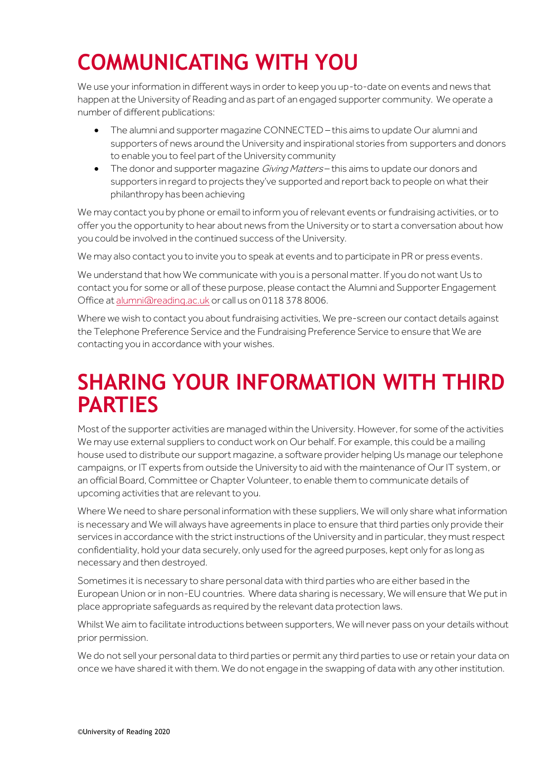# **COMMUNICATING WITH YOU**

We use your information in different ways in order to keep you up-to-date on events and news that happen at the University of Reading and as part of an engaged supporter community. We operate a number of different publications:

- The alumni and supporter magazine CONNECTED this aims to update Our alumni and supporters of news around the University and inspirational stories from supporters and donors to enable you to feel part of the University community
- The donor and supporter magazine *Giving Matters* this aims to update our donors and supporters in regard to projects they've supported and report back to people on what their philanthropy has been achieving

We may contact you by phone or email to inform you of relevant events or fundraising activities, or to offer you the opportunity to hear about news from the University or to start a conversation about how you could be involved in the continued success of the University.

We may also contact you to invite you to speak at events and to participate in PR or press events.

We understand that how We communicate with you is a personal matter. If you do not want Us to contact you for some or all of these purpose, please contact the Alumni and Supporter Engagement Office a[t alumni@reading.ac.uk](mailto:alumni@reading.ac.uk) or call us on 0118 378 8006.

Where we wish to contact you about fundraising activities, We pre-screen our contact details against the Telephone Preference Service and the Fundraising Preference Service to ensure that We are contacting you in accordance with your wishes.

### **SHARING YOUR INFORMATION WITH THIRD PARTIES**

Most of the supporter activities are managed within the University. However, for some of the activities We may use external suppliers to conduct work on Our behalf. For example, this could be a mailing house used to distribute our support magazine, a software provider helping Us manage our telephone campaigns, or IT experts from outside the University to aid with the maintenance of Our IT system, or an official Board, Committee or Chapter Volunteer, to enable them to communicate details of upcoming activities that are relevant to you.

Where We need to share personal information with these suppliers, We will only share what information is necessary and We will always have agreements in place to ensure that third parties only provide their services in accordance with the strict instructions of the University and in particular, they must respect confidentiality, hold your data securely, only used for the agreed purposes, kept only for as long as necessary and then destroyed.

Sometimes it is necessary to share personal data with third parties who are either based in the European Union or in non-EU countries. Where data sharing is necessary, We will ensure that We put in place appropriate safeguards as required by the relevant data protection laws.

Whilst We aim to facilitate introductions between supporters, We will never pass on your details without prior permission.

We do not sell your personal data to third parties or permit any third parties to use or retain your data on once we have shared it with them. We do not engage in the swapping of data with any other institution.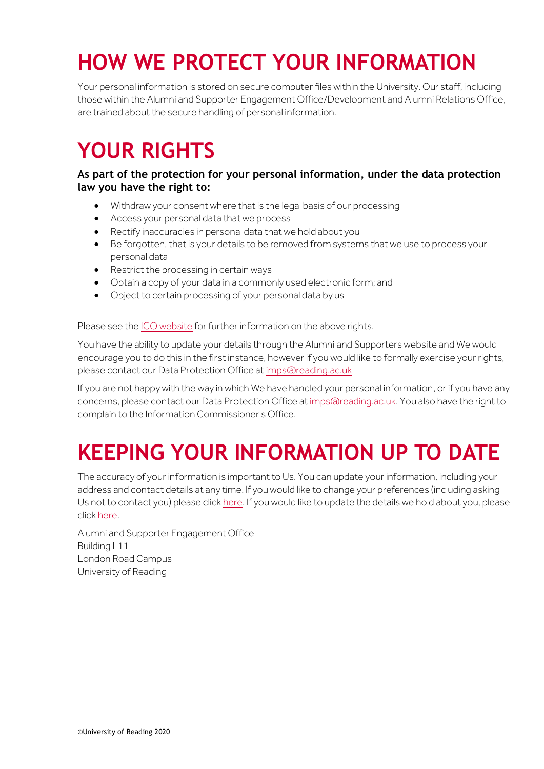# **HOW WE PROTECT YOUR INFORMATION**

Your personal information is stored on secure computer files within the University. Our staff, including those within the Alumni and Supporter Engagement Office/Development and Alumni Relations Office, are trained about the secure handling of personal information.

### **YOUR RIGHTS**

#### **As part of the protection for your personal information, under the data protection law you have the right to:**

- Withdraw your consent where that is the legal basis of our processing
- Access your personal data that we process
- Rectify inaccuracies in personal data that we hold about you
- Be forgotten, that is your details to be removed from systems that we use to process your personal data
- Restrict the processing in certain ways
- Obtain a copy of your data in a commonly used electronic form; and
- Object to certain processing of your personal data by us

#### Please see th[e ICO website](https://ico.org.uk/for-organisations/guide-to-the-general-data-protection-regulation-gdpr/individual-rights/) for further information on the above rights.

You have the ability to update your details through the Alumni and Supporters website and We would encourage you to do this in the first instance, however if you would like to formally exercise your rights, please contact our Data Protection Office a[t imps@reading.ac.uk](mailto:imps@reading.ac.uk)

If you are not happy with the way in which We have handled your personal information, or if you have any concerns, please contact our Data Protection Office a[t imps@reading.ac.uk.](mailto:imps@reading.ac.uk) You also have the right to complain to the Information Commissioner's Office.

## **KEEPING YOUR INFORMATION UP TO DATE**

The accuracy of your information is important to Us. You can update your information, including your address and contact details at any time. If you would like to change your preferences (including asking Us not to contact you) please clic[k here.](https://universityofreadingusergroup.formstack.com/forms/communications_preferences) If you would like to update the details we hold about you, please clic[k here.](https://universityofreadingusergroup.formstack.com/forms/update_your_details)

Alumni and Supporter Engagement Office Building L11 London Road Campus University of Reading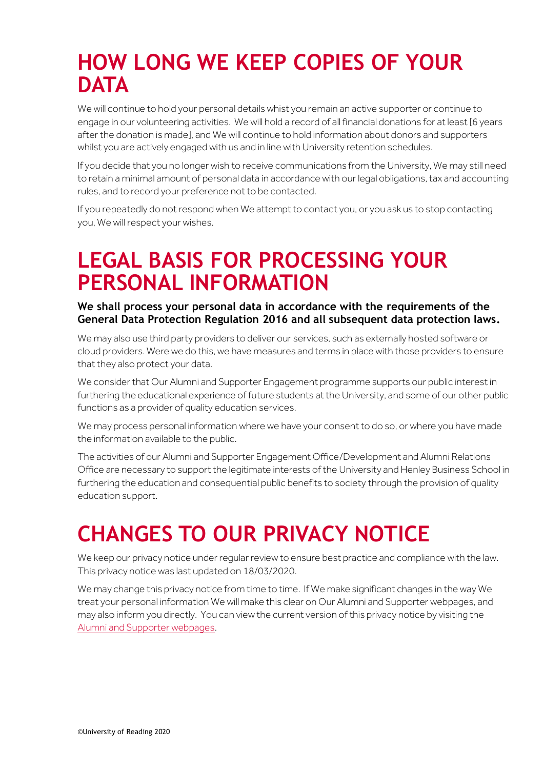### **HOW LONG WE KEEP COPIES OF YOUR DATA**

We will continue to hold your personal details whist you remain an active supporter or continue to engage in our volunteering activities. We will hold a record of all financial donations for at least [6 years after the donation is made], and We will continue to hold information about donors and supporters whilst you are actively engaged with us and in line with University retention schedules.

If you decide that you no longer wish to receive communications from the University, We may still need to retain a minimal amount of personal data in accordance with our legal obligations, tax and accounting rules, and to record your preference not to be contacted.

If you repeatedly do not respond when We attempt to contact you, or you ask us to stop contacting you, We will respect your wishes.

### **LEGAL BASIS FOR PROCESSING YOUR PERSONAL INFORMATION**

**We shall process your personal data in accordance with the requirements of the General Data Protection Regulation 2016 and all subsequent data protection laws.**

We may also use third party providers to deliver our services, such as externally hosted software or cloud providers. Were we do this, we have measures and terms in place with those providers to ensure that they also protect your data.

We consider that Our Alumni and Supporter Engagement programme supports our public interest in furthering the educational experience of future students at the University, and some of our other public functions as a provider of quality education services.

We may process personal information where we have your consent to do so, or where you have made the information available to the public.

The activities of our Alumni and Supporter Engagement Office/Development and Alumni Relations Office are necessary to support the legitimate interests of the University and Henley Business School in furthering the education and consequential public benefits to society through the provision of quality education support.

# **CHANGES TO OUR PRIVACY NOTICE**

We keep our privacy notice under reqular review to ensure best practice and compliance with the law. This privacy notice was last updated on 18/03/2020.

We may change this privacy notice from time to time. If We make significant changes in the way We treat your personal information We will make this clear on Our Alumni and Supporter webpages, and may also inform you directly. You can view the current version of this privacy notice by visiting the [Alumni and Supporter webpages.](http://www.reading.ac.uk/AlumniAndSupporters/)